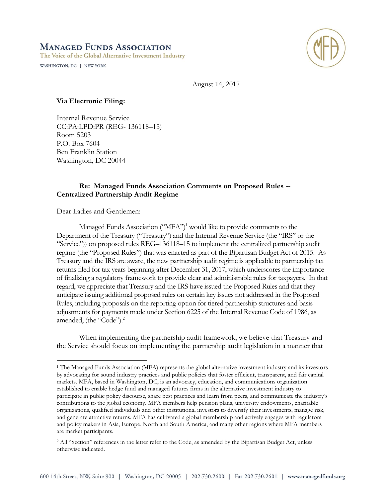# **MANAGED FUNDS ASSOCIATION**

The Voice of the Global Alternative Investment Industry

WASHINGTON, DC | NEW YORK



August 14, 2017

## **Via Electronic Filing:**

Internal Revenue Service CC:PA:LPD:PR (REG- 136118–15) Room 5203 P.O. Box 7604 Ben Franklin Station Washington, DC 20044

# **Re: Managed Funds Association Comments on Proposed Rules -- Centralized Partnership Audit Regime**

Dear Ladies and Gentlemen:

 $\overline{a}$ 

Managed Funds Association ("MFA")<sup>1</sup> would like to provide comments to the Department of the Treasury ("Treasury") and the Internal Revenue Service (the "IRS" or the "Service")) on proposed rules REG–136118–15 to implement the centralized partnership audit regime (the "Proposed Rules") that was enacted as part of the Bipartisan Budget Act of 2015. As Treasury and the IRS are aware, the new partnership audit regime is applicable to partnership tax returns filed for tax years beginning after December 31, 2017, which underscores the importance of finalizing a regulatory framework to provide clear and administrable rules for taxpayers. In that regard, we appreciate that Treasury and the IRS have issued the Proposed Rules and that they anticipate issuing additional proposed rules on certain key issues not addressed in the Proposed Rules, including proposals on the reporting option for tiered partnership structures and basis adjustments for payments made under Section 6225 of the Internal Revenue Code of 1986, as amended, (the "Code").<sup>2</sup>

When implementing the partnership audit framework, we believe that Treasury and the Service should focus on implementing the partnership audit legislation in a manner that

<sup>1</sup> The Managed Funds Association (MFA) represents the global alternative investment industry and its investors by advocating for sound industry practices and public policies that foster efficient, transparent, and fair capital markets. MFA, based in Washington, DC, is an advocacy, education, and communications organization established to enable hedge fund and managed futures firms in the alternative investment industry to participate in public policy discourse, share best practices and learn from peers, and communicate the industry's contributions to the global economy. MFA members help pension plans, university endowments, charitable organizations, qualified individuals and other institutional investors to diversify their investments, manage risk, and generate attractive returns. MFA has cultivated a global membership and actively engages with regulators and policy makers in Asia, Europe, North and South America, and many other regions where MFA members are market participants.

<sup>&</sup>lt;sup>2</sup> All "Section" references in the letter refer to the Code, as amended by the Bipartisan Budget Act, unless otherwise indicated.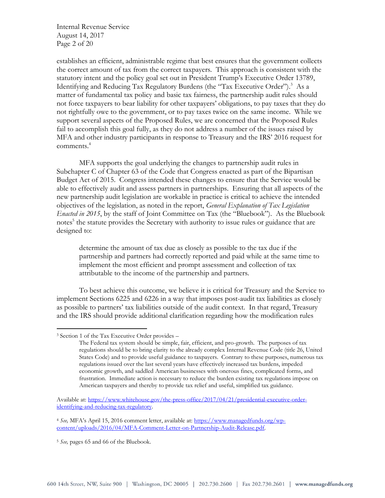Internal Revenue Service August 14, 2017 Page 2 of 20

establishes an efficient, administrable regime that best ensures that the government collects the correct amount of tax from the correct taxpayers. This approach is consistent with the statutory intent and the policy goal set out in President Trump's Executive Order 13789, Identifying and Reducing Tax Regulatory Burdens (the "Tax Executive Order"). <sup>3</sup> As a matter of fundamental tax policy and basic tax fairness, the partnership audit rules should not force taxpayers to bear liability for other taxpayers' obligations, to pay taxes that they do not rightfully owe to the government, or to pay taxes twice on the same income. While we support several aspects of the Proposed Rules, we are concerned that the Proposed Rules fail to accomplish this goal fully, as they do not address a number of the issues raised by MFA and other industry participants in response to Treasury and the IRS' 2016 request for comments.<sup>4</sup>

MFA supports the goal underlying the changes to partnership audit rules in Subchapter C of Chapter 63 of the Code that Congress enacted as part of the Bipartisan Budget Act of 2015. Congress intended these changes to ensure that the Service would be able to effectively audit and assess partners in partnerships. Ensuring that all aspects of the new partnership audit legislation are workable in practice is critical to achieve the intended objectives of the legislation, as noted in the report, *General Explanation of Tax Legislation Enacted in 2015*, by the staff of Joint Committee on Tax (the "Bluebook"). As the Bluebook notes<sup>5</sup> the statute provides the Secretary with authority to issue rules or guidance that are designed to:

determine the amount of tax due as closely as possible to the tax due if the partnership and partners had correctly reported and paid while at the same time to implement the most efficient and prompt assessment and collection of tax attributable to the income of the partnership and partners.

To best achieve this outcome, we believe it is critical for Treasury and the Service to implement Sections 6225 and 6226 in a way that imposes post-audit tax liabilities as closely as possible to partners' tax liabilities outside of the audit context. In that regard, Treasury and the IRS should provide additional clarification regarding how the modification rules

 $\overline{a}$ 

<sup>3</sup> Section 1 of the Tax Executive Order provides –

The Federal tax system should be simple, fair, efficient, and pro-growth. The purposes of tax regulations should be to bring clarity to the already complex Internal Revenue Code (title 26, United States Code) and to provide useful guidance to taxpayers. Contrary to these purposes, numerous tax regulations issued over the last several years have effectively increased tax burdens, impeded economic growth, and saddled American businesses with onerous fines, complicated forms, and frustration. Immediate action is necessary to reduce the burden existing tax regulations impose on American taxpayers and thereby to provide tax relief and useful, simplified tax guidance.

Available at: [https://www.whitehouse.gov/the-press-office/2017/04/21/presidential-executive-order](https://www.whitehouse.gov/the-press-office/2017/04/21/presidential-executive-order-identifying-and-reducing-tax-regulatory)[identifying-and-reducing-tax-regulatory.](https://www.whitehouse.gov/the-press-office/2017/04/21/presidential-executive-order-identifying-and-reducing-tax-regulatory)

<sup>4</sup> *See,* MFA's April 15, 2016 comment letter, available at[: https://www.managedfunds.org/wp](https://www.managedfunds.org/wp-content/uploads/2016/04/MFA-Comment-Letter-on-Partnership-Audit-Release.pdf)[content/uploads/2016/04/MFA-Comment-Letter-on-Partnership-Audit-Release.pdf.](https://www.managedfunds.org/wp-content/uploads/2016/04/MFA-Comment-Letter-on-Partnership-Audit-Release.pdf)

<sup>5</sup> *See,* pages 65 and 66 of the Bluebook.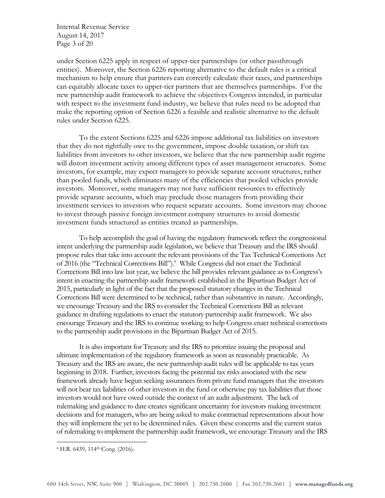Internal Revenue Service August 14, 2017 Page 3 of 20

under Section 6225 apply in respect of upper-tier partnerships (or other passthrough entities). Moreover, the Section 6226 reporting alternative to the default rules is a critical mechanism to help ensure that partners can correctly calculate their taxes, and partnerships can equitably allocate taxes to upper-tier partners that are themselves partnerships. For the new partnership audit framework to achieve the objectives Congress intended, in particular with respect to the investment fund industry, we believe that rules need to be adopted that make the reporting option of Section 6226 a feasible and realistic alternative to the default rules under Section 6225.

To the extent Sections 6225 and 6226 impose additional tax liabilities on investors that they do not rightfully owe to the government, impose double taxation, or shift tax liabilities from investors to other investors, we believe that the new partnership audit regime will distort investment activity among different types of asset management structures. Some investors, for example, may expect managers to provide separate account structures, rather than pooled funds, which eliminates many of the efficiencies that pooled vehicles provide investors. Moreover, some managers may not have sufficient resources to effectively provide separate accounts, which may preclude those managers from providing their investment services to investors who request separate accounts. Some investors may choose to invest through passive foreign investment company structures to avoid domestic investment funds structured as entities treated as partnerships.

To help accomplish the goal of having the regulatory framework reflect the congressional intent underlying the partnership audit legislation, we believe that Treasury and the IRS should propose rules that take into account the relevant provisions of the Tax Technical Corrections Act of 2016 (the "Technical Corrections Bill"). 6 While Congress did not enact the Technical Corrections Bill into law last year, we believe the bill provides relevant guidance as to Congress's intent in enacting the partnership audit framework established in the Bipartisan Budget Act of 2015, particularly in light of the fact that the proposed statutory changes in the Technical Corrections Bill were determined to be technical, rather than substantive in nature. Accordingly, we encourage Treasury and the IRS to consider the Technical Corrections Bill as relevant guidance in drafting regulations to enact the statutory partnership audit framework. We also encourage Treasury and the IRS to continue working to help Congress enact technical corrections to the partnership audit provisions in the Bipartisan Budget Act of 2015.

It is also important for Treasury and the IRS to prioritize issuing the proposal and ultimate implementation of the regulatory framework as soon as reasonably practicable. As Treasury and the IRS are aware, the new partnership audit rules will be applicable to tax years beginning in 2018. Further, investors facing the potential tax risks associated with the new framework already have begun seeking assurances from private fund managers that the investors will not bear tax liabilities of other investors in the fund or otherwise pay tax liabilities that those investors would not have owed outside the context of an audit adjustment. The lack of rulemaking and guidance to date creates significant uncertainty for investors making investment decisions and for managers, who are being asked to make contractual representations about how they will implement the yet to be determined rules. Given these concerns and the current status of rulemaking to implement the partnership audit framework, we encourage Treasury and the IRS

 $\overline{a}$ 

<sup>&</sup>lt;sup>6</sup> H.R. 6439, 114<sup>th</sup> Cong. (2016).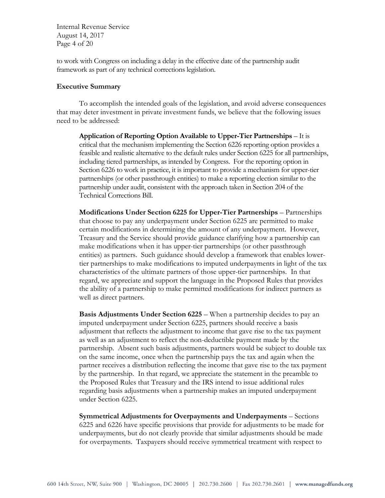Internal Revenue Service August 14, 2017 Page 4 of 20

to work with Congress on including a delay in the effective date of the partnership audit framework as part of any technical corrections legislation.

#### **Executive Summary**

To accomplish the intended goals of the legislation, and avoid adverse consequences that may deter investment in private investment funds, we believe that the following issues need to be addressed:

**Application of Reporting Option Available to Upper-Tier Partnerships** – It is critical that the mechanism implementing the Section 6226 reporting option provides a feasible and realistic alternative to the default rules under Section 6225 for all partnerships, including tiered partnerships, as intended by Congress. For the reporting option in Section 6226 to work in practice, it is important to provide a mechanism for upper-tier partnerships (or other passthrough entities) to make a reporting election similar to the partnership under audit, consistent with the approach taken in Section 204 of the Technical Corrections Bill.

**Modifications Under Section 6225 for Upper-Tier Partnerships** – Partnerships that choose to pay any underpayment under Section 6225 are permitted to make certain modifications in determining the amount of any underpayment. However, Treasury and the Service should provide guidance clarifying how a partnership can make modifications when it has upper-tier partnerships (or other passthrough entities) as partners. Such guidance should develop a framework that enables lowertier partnerships to make modifications to imputed underpayments in light of the tax characteristics of the ultimate partners of those upper-tier partnerships. In that regard, we appreciate and support the language in the Proposed Rules that provides the ability of a partnership to make permitted modifications for indirect partners as well as direct partners.

**Basis Adjustments Under Section 6225** – When a partnership decides to pay an imputed underpayment under Section 6225, partners should receive a basis adjustment that reflects the adjustment to income that gave rise to the tax payment as well as an adjustment to reflect the non-deductible payment made by the partnership. Absent such basis adjustments, partners would be subject to double tax on the same income, once when the partnership pays the tax and again when the partner receives a distribution reflecting the income that gave rise to the tax payment by the partnership. In that regard, we appreciate the statement in the preamble to the Proposed Rules that Treasury and the IRS intend to issue additional rules regarding basis adjustments when a partnership makes an imputed underpayment under Section 6225.

**Symmetrical Adjustments for Overpayments and Underpayments** – Sections 6225 and 6226 have specific provisions that provide for adjustments to be made for underpayments, but do not clearly provide that similar adjustments should be made for overpayments. Taxpayers should receive symmetrical treatment with respect to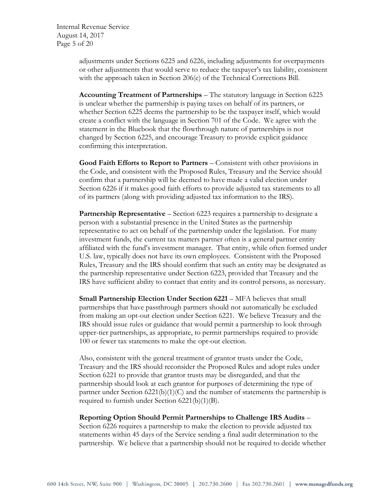Internal Revenue Service August 14, 2017 Page 5 of 20

> adjustments under Sections 6225 and 6226, including adjustments for overpayments or other adjustments that would serve to reduce the taxpayer's tax liability, consistent with the approach taken in Section 206(e) of the Technical Corrections Bill.

**Accounting Treatment of Partnerships** – The statutory language in Section 6225 is unclear whether the partnership is paying taxes on behalf of its partners, or whether Section 6225 deems the partnership to be the taxpayer itself, which would create a conflict with the language in Section 701 of the Code. We agree with the statement in the Bluebook that the flowthrough nature of partnerships is not changed by Section 6225, and encourage Treasury to provide explicit guidance confirming this interpretation.

**Good Faith Efforts to Report to Partners** – Consistent with other provisions in the Code, and consistent with the Proposed Rules, Treasury and the Service should confirm that a partnership will be deemed to have made a valid election under Section 6226 if it makes good faith efforts to provide adjusted tax statements to all of its partners (along with providing adjusted tax information to the IRS).

**Partnership Representative** – Section 6223 requires a partnership to designate a person with a substantial presence in the United States as the partnership representative to act on behalf of the partnership under the legislation. For many investment funds, the current tax matters partner often is a general partner entity affiliated with the fund's investment manager. That entity, while often formed under U.S. law, typically does not have its own employees. Consistent with the Proposed Rules, Treasury and the IRS should confirm that such an entity may be designated as the partnership representative under Section 6223, provided that Treasury and the IRS have sufficient ability to contact that entity and its control persons, as necessary.

**Small Partnership Election Under Section 6221** – MFA believes that small partnerships that have passthrough partners should not automatically be excluded from making an opt-out election under Section 6221. We believe Treasury and the IRS should issue rules or guidance that would permit a partnership to look through upper-tier partnerships, as appropriate, to permit partnerships required to provide 100 or fewer tax statements to make the opt-out election.

Also, consistent with the general treatment of grantor trusts under the Code, Treasury and the IRS should reconsider the Proposed Rules and adopt rules under Section 6221 to provide that grantor trusts may be disregarded, and that the partnership should look at each grantor for purposes of determining the type of partner under Section  $6221(b)(1)(C)$  and the number of statements the partnership is required to furnish under Section 6221(b)(1)(B).

#### **Reporting Option Should Permit Partnerships to Challenge IRS Audits** –

Section 6226 requires a partnership to make the election to provide adjusted tax statements within 45 days of the Service sending a final audit determination to the partnership. We believe that a partnership should not be required to decide whether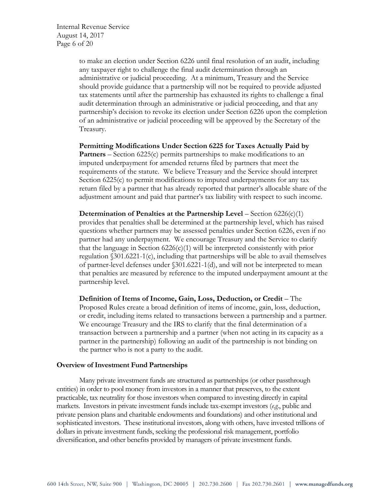Internal Revenue Service August 14, 2017 Page 6 of 20

> to make an election under Section 6226 until final resolution of an audit, including any taxpayer right to challenge the final audit determination through an administrative or judicial proceeding. At a minimum, Treasury and the Service should provide guidance that a partnership will not be required to provide adjusted tax statements until after the partnership has exhausted its rights to challenge a final audit determination through an administrative or judicial proceeding, and that any partnership's decision to revoke its election under Section 6226 upon the completion of an administrative or judicial proceeding will be approved by the Secretary of the Treasury.

> **Permitting Modifications Under Section 6225 for Taxes Actually Paid by Partners** – Section 6225(c) permits partnerships to make modifications to an imputed underpayment for amended returns filed by partners that meet the requirements of the statute. We believe Treasury and the Service should interpret Section 6225(c) to permit modifications to imputed underpayments for any tax return filed by a partner that has already reported that partner's allocable share of the adjustment amount and paid that partner's tax liability with respect to such income.

> **Determination of Penalties at the Partnership Level** – Section 6226(c)(1) provides that penalties shall be determined at the partnership level, which has raised questions whether partners may be assessed penalties under Section 6226, even if no partner had any underpayment. We encourage Treasury and the Service to clarify that the language in Section  $6226(c)(1)$  will be interpreted consistently with prior regulation §301.6221-1(c), including that partnerships will be able to avail themselves of partner-level defenses under §301.6221-1(d), and will not be interpreted to mean that penalties are measured by reference to the imputed underpayment amount at the partnership level.

> **Definition of Items of Income, Gain, Loss, Deduction, or Credit** – The Proposed Rules create a broad definition of items of income, gain, loss, deduction, or credit, including items related to transactions between a partnership and a partner. We encourage Treasury and the IRS to clarify that the final determination of a transaction between a partnership and a partner (when not acting in its capacity as a partner in the partnership) following an audit of the partnership is not binding on the partner who is not a party to the audit.

#### **Overview of Investment Fund Partnerships**

Many private investment funds are structured as partnerships (or other passthrough entities) in order to pool money from investors in a manner that preserves, to the extent practicable, tax neutrality for those investors when compared to investing directly in capital markets. Investors in private investment funds include tax-exempt investors (*e.g*., public and private pension plans and charitable endowments and foundations) and other institutional and sophisticated investors. These institutional investors, along with others, have invested trillions of dollars in private investment funds, seeking the professional risk management, portfolio diversification, and other benefits provided by managers of private investment funds.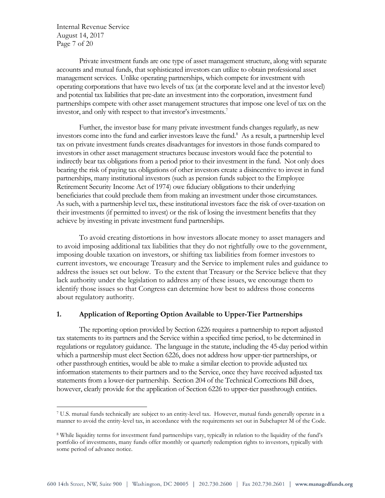Internal Revenue Service August 14, 2017 Page 7 of 20

 $\overline{a}$ 

Private investment funds are one type of asset management structure, along with separate accounts and mutual funds, that sophisticated investors can utilize to obtain professional asset management services. Unlike operating partnerships, which compete for investment with operating corporations that have two levels of tax (at the corporate level and at the investor level) and potential tax liabilities that pre-date an investment into the corporation, investment fund partnerships compete with other asset management structures that impose one level of tax on the investor, and only with respect to that investor's investments.<sup>7</sup>

Further, the investor base for many private investment funds changes regularly, as new investors come into the fund and earlier investors leave the fund. $8$  As a result, a partnership level tax on private investment funds creates disadvantages for investors in those funds compared to investors in other asset management structures because investors would face the potential to indirectly bear tax obligations from a period prior to their investment in the fund. Not only does bearing the risk of paying tax obligations of other investors create a disincentive to invest in fund partnerships, many institutional investors (such as pension funds subject to the Employee Retirement Security Income Act of 1974) owe fiduciary obligations to their underlying beneficiaries that could preclude them from making an investment under those circumstances. As such, with a partnership level tax, these institutional investors face the risk of over-taxation on their investments (if permitted to invest) or the risk of losing the investment benefits that they achieve by investing in private investment fund partnerships.

To avoid creating distortions in how investors allocate money to asset managers and to avoid imposing additional tax liabilities that they do not rightfully owe to the government, imposing double taxation on investors, or shifting tax liabilities from former investors to current investors, we encourage Treasury and the Service to implement rules and guidance to address the issues set out below. To the extent that Treasury or the Service believe that they lack authority under the legislation to address any of these issues, we encourage them to identify those issues so that Congress can determine how best to address those concerns about regulatory authority.

#### **1. Application of Reporting Option Available to Upper-Tier Partnerships**

The reporting option provided by Section 6226 requires a partnership to report adjusted tax statements to its partners and the Service within a specified time period, to be determined in regulations or regulatory guidance. The language in the statute, including the 45-day period within which a partnership must elect Section 6226, does not address how upper-tier partnerships, or other passthrough entities, would be able to make a similar election to provide adjusted tax information statements to their partners and to the Service, once they have received adjusted tax statements from a lower-tier partnership. Section 204 of the Technical Corrections Bill does, however, clearly provide for the application of Section 6226 to upper-tier passthrough entities.

<sup>7</sup> U.S. mutual funds technically are subject to an entity-level tax. However, mutual funds generally operate in a manner to avoid the entity-level tax, in accordance with the requirements set out in Subchapter M of the Code.

<sup>8</sup> While liquidity terms for investment fund partnerships vary, typically in relation to the liquidity of the fund's portfolio of investments, many funds offer monthly or quarterly redemption rights to investors, typically with some period of advance notice.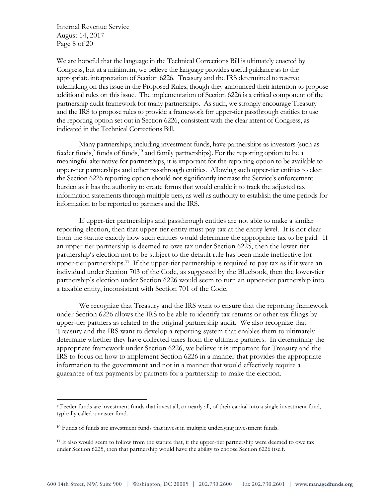Internal Revenue Service August 14, 2017 Page 8 of 20

 $\overline{a}$ 

We are hopeful that the language in the Technical Corrections Bill is ultimately enacted by Congress, but at a minimum, we believe the language provides useful guidance as to the appropriate interpretation of Section 6226. Treasury and the IRS determined to reserve rulemaking on this issue in the Proposed Rules, though they announced their intention to propose additional rules on this issue. The implementation of Section 6226 is a critical component of the partnership audit framework for many partnerships. As such, we strongly encourage Treasury and the IRS to propose rules to provide a framework for upper-tier passthrough entities to use the reporting option set out in Section 6226, consistent with the clear intent of Congress, as indicated in the Technical Corrections Bill.

Many partnerships, including investment funds, have partnerships as investors (such as feeder funds,<sup>9</sup> funds of funds,<sup>10</sup> and family partnerships). For the reporting option to be a meaningful alternative for partnerships, it is important for the reporting option to be available to upper-tier partnerships and other passthrough entities. Allowing such upper-tier entities to elect the Section 6226 reporting option should not significantly increase the Service's enforcement burden as it has the authority to create forms that would enable it to track the adjusted tax information statements through multiple tiers, as well as authority to establish the time periods for information to be reported to partners and the IRS.

If upper-tier partnerships and passthrough entities are not able to make a similar reporting election, then that upper-tier entity must pay tax at the entity level. It is not clear from the statute exactly how such entities would determine the appropriate tax to be paid. If an upper-tier partnership is deemed to owe tax under Section 6225, then the lower-tier partnership's election not to be subject to the default rule has been made ineffective for upper-tier partnerships.<sup>11</sup> If the upper-tier partnership is required to pay tax as if it were an individual under Section 703 of the Code, as suggested by the Bluebook, then the lower-tier partnership's election under Section 6226 would seem to turn an upper-tier partnership into a taxable entity, inconsistent with Section 701 of the Code.

We recognize that Treasury and the IRS want to ensure that the reporting framework under Section 6226 allows the IRS to be able to identify tax returns or other tax filings by upper-tier partners as related to the original partnership audit. We also recognize that Treasury and the IRS want to develop a reporting system that enables them to ultimately determine whether they have collected taxes from the ultimate partners. In determining the appropriate framework under Section 6226, we believe it is important for Treasury and the IRS to focus on how to implement Section 6226 in a manner that provides the appropriate information to the government and not in a manner that would effectively require a guarantee of tax payments by partners for a partnership to make the election.

<sup>9</sup> Feeder funds are investment funds that invest all, or nearly all, of their capital into a single investment fund, typically called a master fund.

<sup>10</sup> Funds of funds are investment funds that invest in multiple underlying investment funds.

<sup>&</sup>lt;sup>11</sup> It also would seem to follow from the statute that, if the upper-tier partnership were deemed to owe tax under Section 6225, then that partnership would have the ability to choose Section 6226 itself.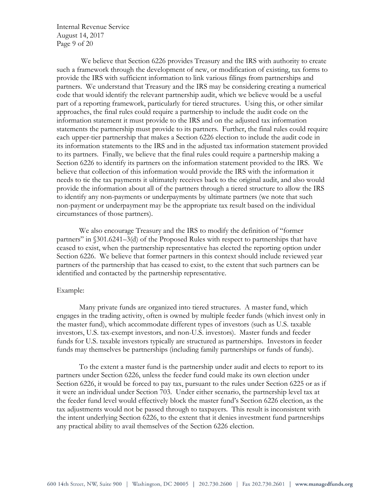Internal Revenue Service August 14, 2017 Page 9 of 20

We believe that Section 6226 provides Treasury and the IRS with authority to create such a framework through the development of new, or modification of existing, tax forms to provide the IRS with sufficient information to link various filings from partnerships and partners. We understand that Treasury and the IRS may be considering creating a numerical code that would identify the relevant partnership audit, which we believe would be a useful part of a reporting framework, particularly for tiered structures. Using this, or other similar approaches, the final rules could require a partnership to include the audit code on the information statement it must provide to the IRS and on the adjusted tax information statements the partnership must provide to its partners. Further, the final rules could require each upper-tier partnership that makes a Section 6226 election to include the audit code in its information statements to the IRS and in the adjusted tax information statement provided to its partners. Finally, we believe that the final rules could require a partnership making a Section 6226 to identify its partners on the information statement provided to the IRS. We believe that collection of this information would provide the IRS with the information it needs to tie the tax payments it ultimately receives back to the original audit, and also would provide the information about all of the partners through a tiered structure to allow the IRS to identify any non-payments or underpayments by ultimate partners (we note that such non-payment or underpayment may be the appropriate tax result based on the individual circumstances of those partners).

We also encourage Treasury and the IRS to modify the definition of "former partners" in §301.6241–3(d) of the Proposed Rules with respect to partnerships that have ceased to exist, when the partnership representative has elected the reporting option under Section 6226. We believe that former partners in this context should include reviewed year partners of the partnership that has ceased to exist, to the extent that such partners can be identified and contacted by the partnership representative.

#### Example:

Many private funds are organized into tiered structures. A master fund, which engages in the trading activity, often is owned by multiple feeder funds (which invest only in the master fund), which accommodate different types of investors (such as U.S. taxable investors, U.S. tax-exempt investors, and non-U.S. investors). Master funds and feeder funds for U.S. taxable investors typically are structured as partnerships. Investors in feeder funds may themselves be partnerships (including family partnerships or funds of funds).

To the extent a master fund is the partnership under audit and elects to report to its partners under Section 6226, unless the feeder fund could make its own election under Section 6226, it would be forced to pay tax, pursuant to the rules under Section 6225 or as if it were an individual under Section 703. Under either scenario, the partnership level tax at the feeder fund level would effectively block the master fund's Section 6226 election, as the tax adjustments would not be passed through to taxpayers. This result is inconsistent with the intent underlying Section 6226, to the extent that it denies investment fund partnerships any practical ability to avail themselves of the Section 6226 election.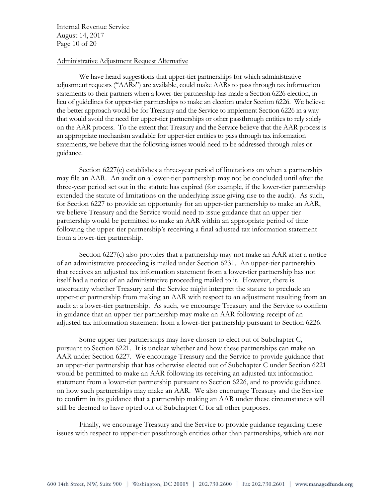Internal Revenue Service August 14, 2017 Page 10 of 20

#### Administrative Adjustment Request Alternative

We have heard suggestions that upper-tier partnerships for which administrative adjustment requests ("AARs") are available, could make AARs to pass through tax information statements to their partners when a lower-tier partnership has made a Section 6226 election, in lieu of guidelines for upper-tier partnerships to make an election under Section 6226. We believe the better approach would be for Treasury and the Service to implement Section 6226 in a way that would avoid the need for upper-tier partnerships or other passthrough entities to rely solely on the AAR process. To the extent that Treasury and the Service believe that the AAR process is an appropriate mechanism available for upper-tier entities to pass through tax information statements, we believe that the following issues would need to be addressed through rules or guidance.

Section 6227(c) establishes a three-year period of limitations on when a partnership may file an AAR. An audit on a lower-tier partnership may not be concluded until after the three-year period set out in the statute has expired (for example, if the lower-tier partnership extended the statute of limitations on the underlying issue giving rise to the audit). As such, for Section 6227 to provide an opportunity for an upper-tier partnership to make an AAR, we believe Treasury and the Service would need to issue guidance that an upper-tier partnership would be permitted to make an AAR within an appropriate period of time following the upper-tier partnership's receiving a final adjusted tax information statement from a lower-tier partnership.

Section 6227(c) also provides that a partnership may not make an AAR after a notice of an administrative proceeding is mailed under Section 6231. An upper-tier partnership that receives an adjusted tax information statement from a lower-tier partnership has not itself had a notice of an administrative proceeding mailed to it. However, there is uncertainty whether Treasury and the Service might interpret the statute to preclude an upper-tier partnership from making an AAR with respect to an adjustment resulting from an audit at a lower-tier partnership. As such, we encourage Treasury and the Service to confirm in guidance that an upper-tier partnership may make an AAR following receipt of an adjusted tax information statement from a lower-tier partnership pursuant to Section 6226.

Some upper-tier partnerships may have chosen to elect out of Subchapter C, pursuant to Section 6221. It is unclear whether and how these partnerships can make an AAR under Section 6227. We encourage Treasury and the Service to provide guidance that an upper-tier partnership that has otherwise elected out of Subchapter C under Section 6221 would be permitted to make an AAR following its receiving an adjusted tax information statement from a lower-tier partnership pursuant to Section 6226, and to provide guidance on how such partnerships may make an AAR. We also encourage Treasury and the Service to confirm in its guidance that a partnership making an AAR under these circumstances will still be deemed to have opted out of Subchapter C for all other purposes.

Finally, we encourage Treasury and the Service to provide guidance regarding these issues with respect to upper-tier passthrough entities other than partnerships, which are not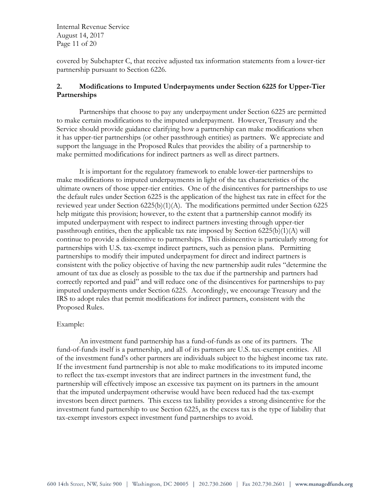Internal Revenue Service August 14, 2017 Page 11 of 20

covered by Subchapter C, that receive adjusted tax information statements from a lower-tier partnership pursuant to Section 6226.

# **2. Modifications to Imputed Underpayments under Section 6225 for Upper-Tier Partnerships**

Partnerships that choose to pay any underpayment under Section 6225 are permitted to make certain modifications to the imputed underpayment. However, Treasury and the Service should provide guidance clarifying how a partnership can make modifications when it has upper-tier partnerships (or other passthrough entities) as partners. We appreciate and support the language in the Proposed Rules that provides the ability of a partnership to make permitted modifications for indirect partners as well as direct partners.

It is important for the regulatory framework to enable lower-tier partnerships to make modifications to imputed underpayments in light of the tax characteristics of the ultimate owners of those upper-tier entities. One of the disincentives for partnerships to use the default rules under Section 6225 is the application of the highest tax rate in effect for the reviewed year under Section  $6225(b)(1)(A)$ . The modifications permitted under Section  $6225$ help mitigate this provision; however, to the extent that a partnership cannot modify its imputed underpayment with respect to indirect partners investing through upper-tier passthrough entities, then the applicable tax rate imposed by Section 6225(b)(1)(A) will continue to provide a disincentive to partnerships. This disincentive is particularly strong for partnerships with U.S. tax-exempt indirect partners, such as pension plans. Permitting partnerships to modify their imputed underpayment for direct and indirect partners is consistent with the policy objective of having the new partnership audit rules "determine the amount of tax due as closely as possible to the tax due if the partnership and partners had correctly reported and paid" and will reduce one of the disincentives for partnerships to pay imputed underpayments under Section 6225. Accordingly, we encourage Treasury and the IRS to adopt rules that permit modifications for indirect partners, consistent with the Proposed Rules.

#### Example:

An investment fund partnership has a fund-of-funds as one of its partners. The fund-of-funds itself is a partnership, and all of its partners are U.S. tax-exempt entities. All of the investment fund's other partners are individuals subject to the highest income tax rate. If the investment fund partnership is not able to make modifications to its imputed income to reflect the tax-exempt investors that are indirect partners in the investment fund, the partnership will effectively impose an excessive tax payment on its partners in the amount that the imputed underpayment otherwise would have been reduced had the tax-exempt investors been direct partners. This excess tax liability provides a strong disincentive for the investment fund partnership to use Section 6225, as the excess tax is the type of liability that tax-exempt investors expect investment fund partnerships to avoid.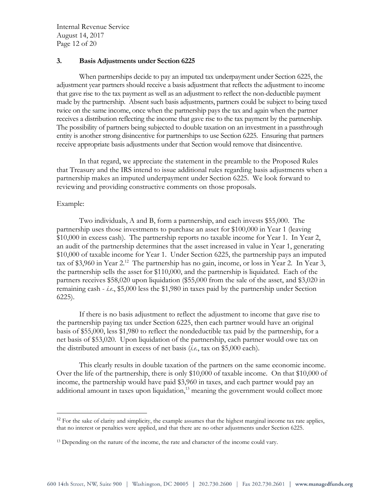Internal Revenue Service August 14, 2017 Page 12 of 20

#### **3. Basis Adjustments under Section 6225**

When partnerships decide to pay an imputed tax underpayment under Section 6225, the adjustment year partners should receive a basis adjustment that reflects the adjustment to income that gave rise to the tax payment as well as an adjustment to reflect the non-deductible payment made by the partnership. Absent such basis adjustments, partners could be subject to being taxed twice on the same income, once when the partnership pays the tax and again when the partner receives a distribution reflecting the income that gave rise to the tax payment by the partnership. The possibility of partners being subjected to double taxation on an investment in a passthrough entity is another strong disincentive for partnerships to use Section 6225. Ensuring that partners receive appropriate basis adjustments under that Section would remove that disincentive.

In that regard, we appreciate the statement in the preamble to the Proposed Rules that Treasury and the IRS intend to issue additional rules regarding basis adjustments when a partnership makes an imputed underpayment under Section 6225. We look forward to reviewing and providing constructive comments on those proposals.

#### Example:

 $\overline{a}$ 

Two individuals, A and B, form a partnership, and each invests \$55,000. The partnership uses those investments to purchase an asset for \$100,000 in Year 1 (leaving \$10,000 in excess cash). The partnership reports no taxable income for Year 1. In Year 2, an audit of the partnership determines that the asset increased in value in Year 1, generating \$10,000 of taxable income for Year 1. Under Section 6225, the partnership pays an imputed tax of \$3,960 in Year 2.<sup>12</sup> The partnership has no gain, income, or loss in Year 2. In Year 3, the partnership sells the asset for \$110,000, and the partnership is liquidated. Each of the partners receives \$58,020 upon liquidation (\$55,000 from the sale of the asset, and \$3,020 in remaining cash - *i.e*., \$5,000 less the \$1,980 in taxes paid by the partnership under Section 6225).

If there is no basis adjustment to reflect the adjustment to income that gave rise to the partnership paying tax under Section 6225, then each partner would have an original basis of \$55,000, less \$1,980 to reflect the nondeductible tax paid by the partnership, for a net basis of \$53,020. Upon liquidation of the partnership, each partner would owe tax on the distributed amount in excess of net basis (*i.e.*, tax on \$5,000 each).

This clearly results in double taxation of the partners on the same economic income. Over the life of the partnership, there is only \$10,000 of taxable income. On that \$10,000 of income, the partnership would have paid \$3,960 in taxes, and each partner would pay an additional amount in taxes upon liquidation,<sup>13</sup> meaning the government would collect more

 $12$  For the sake of clarity and simplicity, the example assumes that the highest marginal income tax rate applies, that no interest or penalties were applied, and that there are no other adjustments under Section 6225.

<sup>&</sup>lt;sup>13</sup> Depending on the nature of the income, the rate and character of the income could vary.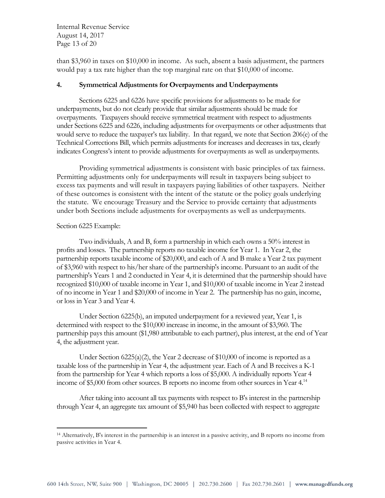Internal Revenue Service August 14, 2017 Page 13 of 20

than \$3,960 in taxes on \$10,000 in income. As such, absent a basis adjustment, the partners would pay a tax rate higher than the top marginal rate on that \$10,000 of income.

#### **4. Symmetrical Adjustments for Overpayments and Underpayments**

Sections 6225 and 6226 have specific provisions for adjustments to be made for underpayments, but do not clearly provide that similar adjustments should be made for overpayments. Taxpayers should receive symmetrical treatment with respect to adjustments under Sections 6225 and 6226, including adjustments for overpayments or other adjustments that would serve to reduce the taxpayer's tax liability. In that regard, we note that Section 206(e) of the Technical Corrections Bill, which permits adjustments for increases and decreases in tax, clearly indicates Congress's intent to provide adjustments for overpayments as well as underpayments.

Providing symmetrical adjustments is consistent with basic principles of tax fairness. Permitting adjustments only for underpayments will result in taxpayers being subject to excess tax payments and will result in taxpayers paying liabilities of other taxpayers. Neither of these outcomes is consistent with the intent of the statute or the policy goals underlying the statute. We encourage Treasury and the Service to provide certainty that adjustments under both Sections include adjustments for overpayments as well as underpayments.

#### Section 6225 Example:

 $\overline{a}$ 

Two individuals, A and B, form a partnership in which each owns a 50% interest in profits and losses. The partnership reports no taxable income for Year 1. In Year 2, the partnership reports taxable income of \$20,000, and each of A and B make a Year 2 tax payment of \$3,960 with respect to his/her share of the partnership's income. Pursuant to an audit of the partnership's Years 1 and 2 conducted in Year 4, it is determined that the partnership should have recognized \$10,000 of taxable income in Year 1, and \$10,000 of taxable income in Year 2 instead of no income in Year 1 and \$20,000 of income in Year 2. The partnership has no gain, income, or loss in Year 3 and Year 4.

Under Section 6225(b), an imputed underpayment for a reviewed year, Year 1, is determined with respect to the \$10,000 increase in income, in the amount of \$3,960. The partnership pays this amount (\$1,980 attributable to each partner), plus interest, at the end of Year 4, the adjustment year.

Under Section 6225(a)(2), the Year 2 decrease of \$10,000 of income is reported as a taxable loss of the partnership in Year 4, the adjustment year. Each of A and B receives a K-1 from the partnership for Year 4 which reports a loss of \$5,000. A individually reports Year 4 income of \$5,000 from other sources. B reports no income from other sources in Year 4.<sup>14</sup>

After taking into account all tax payments with respect to B's interest in the partnership through Year 4, an aggregate tax amount of \$5,940 has been collected with respect to aggregate

<sup>14</sup> Alternatively, B's interest in the partnership is an interest in a passive activity, and B reports no income from passive activities in Year 4.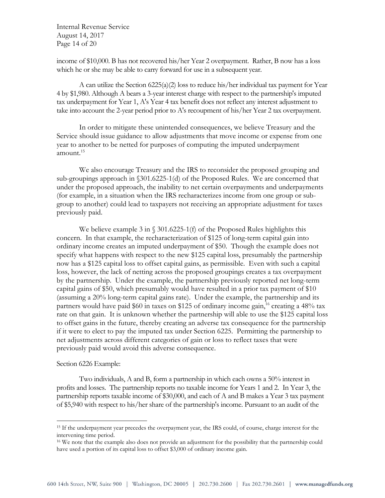Internal Revenue Service August 14, 2017 Page 14 of 20

income of \$10,000. B has not recovered his/her Year 2 overpayment. Rather, B now has a loss which he or she may be able to carry forward for use in a subsequent year.

A can utilize the Section  $6225(a)(2)$  loss to reduce his/her individual tax payment for Year 4 by \$1,980. Although A bears a 3-year interest charge with respect to the partnership's imputed tax underpayment for Year 1, A's Year 4 tax benefit does not reflect any interest adjustment to take into account the 2-year period prior to A's recoupment of his/her Year 2 tax overpayment.

In order to mitigate these unintended consequences, we believe Treasury and the Service should issue guidance to allow adjustments that move income or expense from one year to another to be netted for purposes of computing the imputed underpayment amount. 15

We also encourage Treasury and the IRS to reconsider the proposed grouping and sub-groupings approach in §301.6225-1(d) of the Proposed Rules. We are concerned that under the proposed approach, the inability to net certain overpayments and underpayments (for example, in a situation when the IRS recharacterizes income from one group or subgroup to another) could lead to taxpayers not receiving an appropriate adjustment for taxes previously paid.

We believe example 3 in § 301.6225-1(f) of the Proposed Rules highlights this concern. In that example, the recharacterization of \$125 of long-term capital gain into ordinary income creates an imputed underpayment of \$50. Though the example does not specify what happens with respect to the new \$125 capital loss, presumably the partnership now has a \$125 capital loss to offset capital gains, as permissible. Even with such a capital loss, however, the lack of netting across the proposed groupings creates a tax overpayment by the partnership. Under the example, the partnership previously reported net long-term capital gains of \$50, which presumably would have resulted in a prior tax payment of \$10 (assuming a 20% long-term capital gains rate). Under the example, the partnership and its partners would have paid  $$60$  in taxes on  $$125$  of ordinary income gain,<sup>16</sup> creating a  $48\%$  tax rate on that gain. It is unknown whether the partnership will able to use the \$125 capital loss to offset gains in the future, thereby creating an adverse tax consequence for the partnership if it were to elect to pay the imputed tax under Section 6225. Permitting the partnership to net adjustments across different categories of gain or loss to reflect taxes that were previously paid would avoid this adverse consequence.

#### Section 6226 Example:

 $\overline{a}$ 

Two individuals, A and B, form a partnership in which each owns a 50% interest in profits and losses. The partnership reports no taxable income for Years 1 and 2. In Year 3, the partnership reports taxable income of \$30,000, and each of A and B makes a Year 3 tax payment of \$5,940 with respect to his/her share of the partnership's income. Pursuant to an audit of the

<sup>15</sup> If the underpayment year precedes the overpayment year, the IRS could, of course, charge interest for the intervening time period.

<sup>&</sup>lt;sup>16</sup> We note that the example also does not provide an adjustment for the possibility that the partnership could have used a portion of its capital loss to offset \$3,000 of ordinary income gain.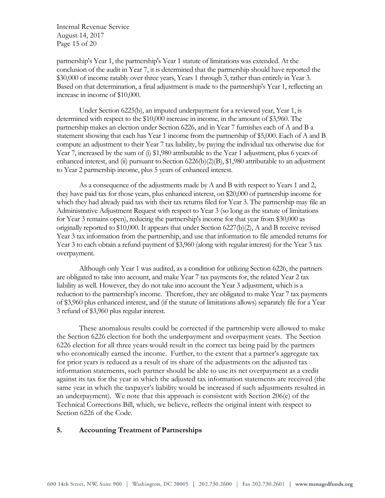Internal Revenue Service August 14, 2017 Page 15 of 20

partnership's Year 1, the partnership's Year 1 statute of limitations was extended. At the conclusion of the audit in Year 7, it is determined that the partnership should have reported the \$30,000 of income ratably over three years, Years 1 through 3, rather than entirely in Year 3. Based on that determination, a final adjustment is made to the partnership's Year 1, reflecting an increase in income of \$10,000.

Under Section 6225(b), an imputed underpayment for a reviewed year, Year 1, is determined with respect to the \$10,000 increase in income, in the amount of \$3,960. The partnership makes an election under Section 6226, and in Year 7 furnishes each of A and B a statement showing that each has Year 1 income from the partnership of \$5,000. Each of A and B compute an adjustment to their Year 7 tax liability, by paying the individual tax otherwise due for Year 7, increased by the sum of (i) \$1,980 attributable to the Year 1 adjustment, plus 6 years of enhanced interest, and (ii) pursuant to Section  $6226(b)(2)(B)$ , \$1,980 attributable to an adjustment to Year 2 partnership income, plus 5 years of enhanced interest.

As a consequence of the adjustments made by A and B with respect to Years 1 and 2, they have paid tax for those years, plus enhanced interest, on \$20,000 of partnership income for which they had already paid tax with their tax returns filed for Year 3. The partnership may file an Administrative Adjustment Request with respect to Year 3 (so long as the statute of limitations for Year 3 remains open), reducing the partnership's income for that year from \$30,000 as originally reported to \$10,000. It appears that under Section 6227(b)(2), A and B receive revised Year 3 tax information from the partnership, and use that information to file amended returns for Year 3 to each obtain a refund payment of \$3,960 (along with regular interest) for the Year 3 tax overpayment.

Although only Year 1 was audited, as a condition for utilizing Section 6226, the partners are obligated to take into account, and make Year 7 tax payments for, the related Year 2 tax liability as well. However, they do not take into account the Year 3 adjustment, which is a reduction to the partnership's income. Therefore, they are obligated to make Year 7 tax payments of \$3,960 plus enhanced interest, and (if the statute of limitations allows) separately file for a Year 3 refund of \$3,960 plus regular interest.

These anomalous results could be corrected if the partnership were allowed to make the Section 6226 election for both the underpayment and overpayment years. The Section 6226 election for all three years would result in the correct tax being paid by the partners who economically earned the income. Further, to the extent that a partner's aggregate tax for prior years is reduced as a result of its share of the adjustments on the adjusted tax information statements, such partner should be able to use its net overpayment as a credit against its tax for the year in which the adjusted tax information statements are received (the same year in which the taxpayer's liability would be increased if such adjustments resulted in an underpayment). We note that this approach is consistent with Section 206(e) of the Technical Corrections Bill, which, we believe, reflects the original intent with respect to Section 6226 of the Code.

## **5. Accounting Treatment of Partnerships**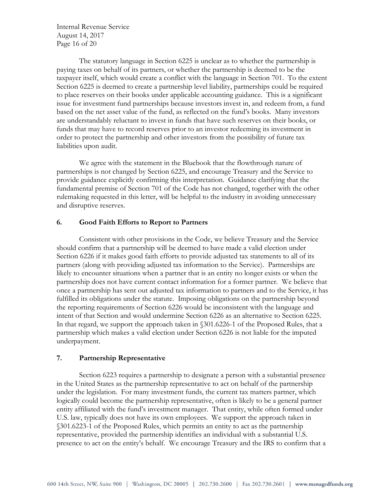Internal Revenue Service August 14, 2017 Page 16 of 20

The statutory language in Section 6225 is unclear as to whether the partnership is paying taxes on behalf of its partners, or whether the partnership is deemed to be the taxpayer itself, which would create a conflict with the language in Section 701. To the extent Section 6225 is deemed to create a partnership level liability, partnerships could be required to place reserves on their books under applicable accounting guidance. This is a significant issue for investment fund partnerships because investors invest in, and redeem from, a fund based on the net asset value of the fund, as reflected on the fund's books. Many investors are understandably reluctant to invest in funds that have such reserves on their books, or funds that may have to record reserves prior to an investor redeeming its investment in order to protect the partnership and other investors from the possibility of future tax liabilities upon audit.

We agree with the statement in the Bluebook that the flowthrough nature of partnerships is not changed by Section 6225, and encourage Treasury and the Service to provide guidance explicitly confirming this interpretation. Guidance clarifying that the fundamental premise of Section 701 of the Code has not changed, together with the other rulemaking requested in this letter, will be helpful to the industry in avoiding unnecessary and disruptive reserves.

## **6. Good Faith Efforts to Report to Partners**

Consistent with other provisions in the Code, we believe Treasury and the Service should confirm that a partnership will be deemed to have made a valid election under Section 6226 if it makes good faith efforts to provide adjusted tax statements to all of its partners (along with providing adjusted tax information to the Service). Partnerships are likely to encounter situations when a partner that is an entity no longer exists or when the partnership does not have current contact information for a former partner. We believe that once a partnership has sent out adjusted tax information to partners and to the Service, it has fulfilled its obligations under the statute. Imposing obligations on the partnership beyond the reporting requirements of Section 6226 would be inconsistent with the language and intent of that Section and would undermine Section 6226 as an alternative to Section 6225. In that regard, we support the approach taken in §301.6226-1 of the Proposed Rules, that a partnership which makes a valid election under Section 6226 is not liable for the imputed underpayment.

#### **7. Partnership Representative**

Section 6223 requires a partnership to designate a person with a substantial presence in the United States as the partnership representative to act on behalf of the partnership under the legislation. For many investment funds, the current tax matters partner, which logically could become the partnership representative, often is likely to be a general partner entity affiliated with the fund's investment manager. That entity, while often formed under U.S. law, typically does not have its own employees. We support the approach taken in §301.6223-1 of the Proposed Rules, which permits an entity to act as the partnership representative, provided the partnership identifies an individual with a substantial U.S. presence to act on the entity's behalf. We encourage Treasury and the IRS to confirm that a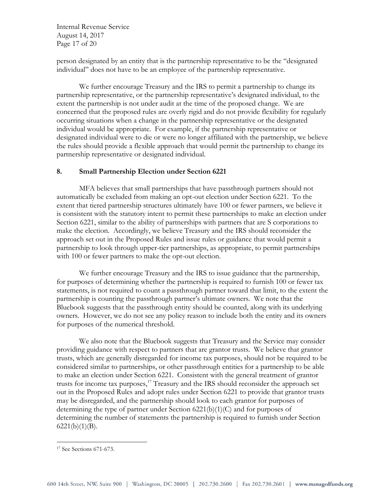Internal Revenue Service August 14, 2017 Page 17 of 20

person designated by an entity that is the partnership representative to be the "designated individual" does not have to be an employee of the partnership representative.

We further encourage Treasury and the IRS to permit a partnership to change its partnership representative, or the partnership representative's designated individual, to the extent the partnership is not under audit at the time of the proposed change. We are concerned that the proposed rules are overly rigid and do not provide flexibility for regularly occurring situations when a change in the partnership representative or the designated individual would be appropriate. For example, if the partnership representative or designated individual were to die or were no longer affiliated with the partnership, we believe the rules should provide a flexible approach that would permit the partnership to change its partnership representative or designated individual.

## **8. Small Partnership Election under Section 6221**

MFA believes that small partnerships that have passthrough partners should not automatically be excluded from making an opt-out election under Section 6221. To the extent that tiered partnership structures ultimately have 100 or fewer partners, we believe it is consistent with the statutory intent to permit these partnerships to make an election under Section 6221, similar to the ability of partnerships with partners that are S corporations to make the election. Accordingly, we believe Treasury and the IRS should reconsider the approach set out in the Proposed Rules and issue rules or guidance that would permit a partnership to look through upper-tier partnerships, as appropriate, to permit partnerships with 100 or fewer partners to make the opt-out election.

We further encourage Treasury and the IRS to issue guidance that the partnership, for purposes of determining whether the partnership is required to furnish 100 or fewer tax statements, is not required to count a passthrough partner toward that limit, to the extent the partnership is counting the passthrough partner's ultimate owners. We note that the Bluebook suggests that the passthrough entity should be counted, along with its underlying owners. However, we do not see any policy reason to include both the entity and its owners for purposes of the numerical threshold.

We also note that the Bluebook suggests that Treasury and the Service may consider providing guidance with respect to partners that are grantor trusts. We believe that grantor trusts, which are generally disregarded for income tax purposes, should not be required to be considered similar to partnerships, or other passthrough entities for a partnership to be able to make an election under Section 6221. Consistent with the general treatment of grantor trusts for income tax purposes, <sup>17</sup> Treasury and the IRS should reconsider the approach set out in the Proposed Rules and adopt rules under Section 6221 to provide that grantor trusts may be disregarded, and the partnership should look to each grantor for purposes of determining the type of partner under Section 6221(b)(1)(C) and for purposes of determining the number of statements the partnership is required to furnish under Section  $6221(b)(1)(B)$ .

 $\overline{a}$ 

<sup>17</sup> See Sections 671-673.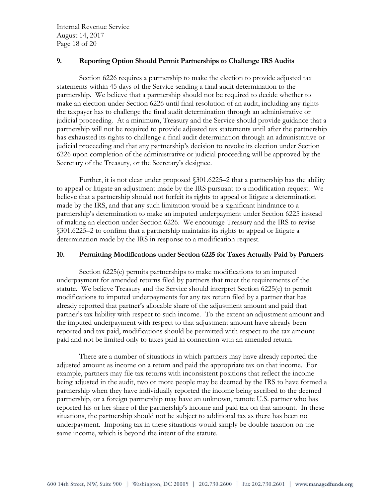Internal Revenue Service August 14, 2017 Page 18 of 20

## **9. Reporting Option Should Permit Partnerships to Challenge IRS Audits**

Section 6226 requires a partnership to make the election to provide adjusted tax statements within 45 days of the Service sending a final audit determination to the partnership. We believe that a partnership should not be required to decide whether to make an election under Section 6226 until final resolution of an audit, including any rights the taxpayer has to challenge the final audit determination through an administrative or judicial proceeding. At a minimum, Treasury and the Service should provide guidance that a partnership will not be required to provide adjusted tax statements until after the partnership has exhausted its rights to challenge a final audit determination through an administrative or judicial proceeding and that any partnership's decision to revoke its election under Section 6226 upon completion of the administrative or judicial proceeding will be approved by the Secretary of the Treasury, or the Secretary's designee.

Further, it is not clear under proposed §301.6225–2 that a partnership has the ability to appeal or litigate an adjustment made by the IRS pursuant to a modification request. We believe that a partnership should not forfeit its rights to appeal or litigate a determination made by the IRS, and that any such limitation would be a significant hindrance to a partnership's determination to make an imputed underpayment under Section 6225 instead of making an election under Section 6226. We encourage Treasury and the IRS to revise §301.6225–2 to confirm that a partnership maintains its rights to appeal or litigate a determination made by the IRS in response to a modification request.

## **10. Permitting Modifications under Section 6225 for Taxes Actually Paid by Partners**

Section 6225(c) permits partnerships to make modifications to an imputed underpayment for amended returns filed by partners that meet the requirements of the statute. We believe Treasury and the Service should interpret Section 6225(c) to permit modifications to imputed underpayments for any tax return filed by a partner that has already reported that partner's allocable share of the adjustment amount and paid that partner's tax liability with respect to such income. To the extent an adjustment amount and the imputed underpayment with respect to that adjustment amount have already been reported and tax paid, modifications should be permitted with respect to the tax amount paid and not be limited only to taxes paid in connection with an amended return.

There are a number of situations in which partners may have already reported the adjusted amount as income on a return and paid the appropriate tax on that income. For example, partners may file tax returns with inconsistent positions that reflect the income being adjusted in the audit, two or more people may be deemed by the IRS to have formed a partnership when they have individually reported the income being ascribed to the deemed partnership, or a foreign partnership may have an unknown, remote U.S. partner who has reported his or her share of the partnership's income and paid tax on that amount. In these situations, the partnership should not be subject to additional tax as there has been no underpayment. Imposing tax in these situations would simply be double taxation on the same income, which is beyond the intent of the statute.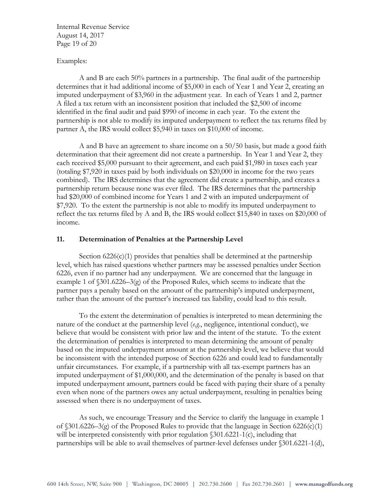Internal Revenue Service August 14, 2017 Page 19 of 20

#### Examples:

A and B are each 50% partners in a partnership. The final audit of the partnership determines that it had additional income of \$5,000 in each of Year 1 and Year 2, creating an imputed underpayment of \$3,960 in the adjustment year. In each of Years 1 and 2, partner A filed a tax return with an inconsistent position that included the \$2,500 of income identified in the final audit and paid \$990 of income in each year. To the extent the partnership is not able to modify its imputed underpayment to reflect the tax returns filed by partner A, the IRS would collect \$5,940 in taxes on \$10,000 of income.

A and B have an agreement to share income on a 50/50 basis, but made a good faith determination that their agreement did not create a partnership. In Year 1 and Year 2, they each received \$5,000 pursuant to their agreement, and each paid \$1,980 in taxes each year (totaling \$7,920 in taxes paid by both individuals on \$20,000 in income for the two years combined). The IRS determines that the agreement did create a partnership, and creates a partnership return because none was ever filed. The IRS determines that the partnership had \$20,000 of combined income for Years 1 and 2 with an imputed underpayment of \$7,920. To the extent the partnership is not able to modify its imputed underpayment to reflect the tax returns filed by A and B, the IRS would collect \$15,840 in taxes on \$20,000 of income.

## **11. Determination of Penalties at the Partnership Level**

Section  $6226(c)(1)$  provides that penalties shall be determined at the partnership level, which has raised questions whether partners may be assessed penalties under Section 6226, even if no partner had any underpayment. We are concerned that the language in example 1 of §301.6226–3(g) of the Proposed Rules, which seems to indicate that the partner pays a penalty based on the amount of the partnership's imputed underpayment, rather than the amount of the partner's increased tax liability, could lead to this result.

To the extent the determination of penalties is interpreted to mean determining the nature of the conduct at the partnership level (*e.g*., negligence, intentional conduct), we believe that would be consistent with prior law and the intent of the statute. To the extent the determination of penalties is interpreted to mean determining the amount of penalty based on the imputed underpayment amount at the partnership level, we believe that would be inconsistent with the intended purpose of Section 6226 and could lead to fundamentally unfair circumstances. For example, if a partnership with all tax-exempt partners has an imputed underpayment of \$1,000,000, and the determination of the penalty is based on that imputed underpayment amount, partners could be faced with paying their share of a penalty even when none of the partners owes any actual underpayment, resulting in penalties being assessed when there is no underpayment of taxes.

As such, we encourage Treasury and the Service to clarify the language in example 1 of  $$301.6226-3(g)$  of the Proposed Rules to provide that the language in Section 6226(c)(1) will be interpreted consistently with prior regulation  $\delta$ 301.6221-1(c), including that partnerships will be able to avail themselves of partner-level defenses under §301.6221-1(d),